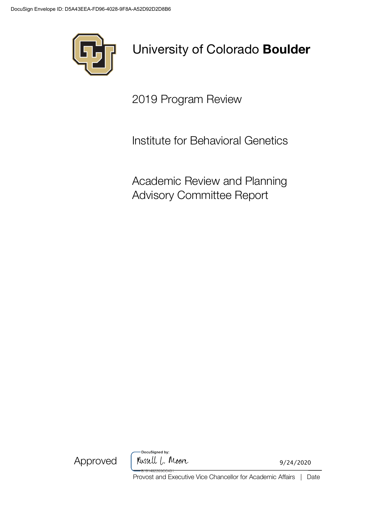

# University of Colorado **Boulder**

2019 Program Review

Institute for Behavioral Genetics

Academic Review and Planning Advisory Committee Report



DocuSigned by: Russell L. Moore

9/24/2020

Provost and Executive Vice Chancellor for Academic Affairs | Date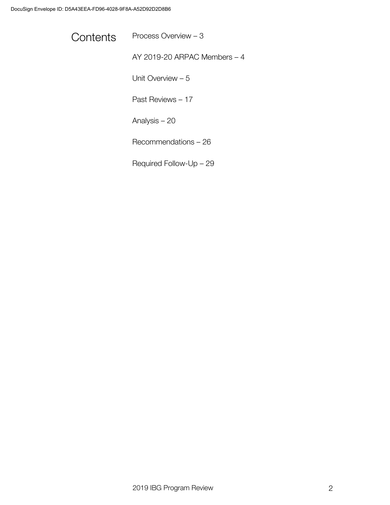Contents Process Overview - 3

AY 2019-20 ARPAC Members – 4

Unit Overview – 5

Past Reviews – 17

Analysis – 20

Recommendations – 26

Required Follow-Up – 29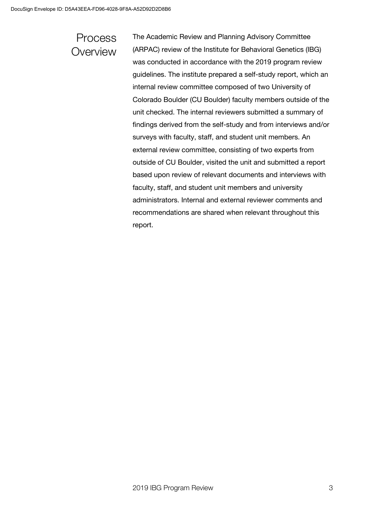### Process **Overview**

The Academic Review and Planning Advisory Committee (ARPAC) review of the Institute for Behavioral Genetics (IBG) was conducted in accordance with the 2019 program review guidelines. The institute prepared a self-study report, which an internal review committee composed of two University of Colorado Boulder (CU Boulder) faculty members outside of the unit checked. The internal reviewers submitted a summary of findings derived from the self-study and from interviews and/or surveys with faculty, staff, and student unit members. An external review committee, consisting of two experts from outside of CU Boulder, visited the unit and submitted a report based upon review of relevant documents and interviews with faculty, staff, and student unit members and university administrators. Internal and external reviewer comments and recommendations are shared when relevant throughout this report.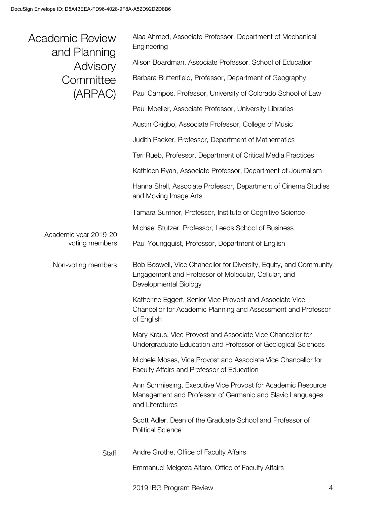| Academic Review<br>and Planning<br>Advisory<br>Committee<br>(ARPAC) | Alaa Ahmed, Associate Professor, Department of Mechanical<br>Engineering                                                                           |
|---------------------------------------------------------------------|----------------------------------------------------------------------------------------------------------------------------------------------------|
|                                                                     | Alison Boardman, Associate Professor, School of Education                                                                                          |
|                                                                     | Barbara Buttenfield, Professor, Department of Geography                                                                                            |
|                                                                     | Paul Campos, Professor, University of Colorado School of Law                                                                                       |
|                                                                     | Paul Moeller, Associate Professor, University Libraries                                                                                            |
|                                                                     | Austin Okigbo, Associate Professor, College of Music                                                                                               |
|                                                                     | Judith Packer, Professor, Department of Mathematics                                                                                                |
|                                                                     | Teri Rueb, Professor, Department of Critical Media Practices                                                                                       |
|                                                                     | Kathleen Ryan, Associate Professor, Department of Journalism                                                                                       |
|                                                                     | Hanna Shell, Associate Professor, Department of Cinema Studies<br>and Moving Image Arts                                                            |
|                                                                     | Tamara Sumner, Professor, Institute of Cognitive Science                                                                                           |
| Academic year 2019-20                                               | Michael Stutzer, Professor, Leeds School of Business                                                                                               |
| voting members                                                      | Paul Youngquist, Professor, Department of English                                                                                                  |
| Non-voting members                                                  |                                                                                                                                                    |
|                                                                     | Bob Boswell, Vice Chancellor for Diversity, Equity, and Community<br>Engagement and Professor of Molecular, Cellular, and<br>Developmental Biology |
|                                                                     | Katherine Eggert, Senior Vice Provost and Associate Vice<br>Chancellor for Academic Planning and Assessment and Professor<br>of English            |
|                                                                     | Mary Kraus, Vice Provost and Associate Vice Chancellor for<br>Undergraduate Education and Professor of Geological Sciences                         |
|                                                                     | Michele Moses, Vice Provost and Associate Vice Chancellor for<br>Faculty Affairs and Professor of Education                                        |
|                                                                     | Ann Schmiesing, Executive Vice Provost for Academic Resource<br>Management and Professor of Germanic and Slavic Languages<br>and Literatures       |
|                                                                     | Scott Adler, Dean of the Graduate School and Professor of<br><b>Political Science</b>                                                              |
| <b>Staff</b>                                                        | Andre Grothe, Office of Faculty Affairs                                                                                                            |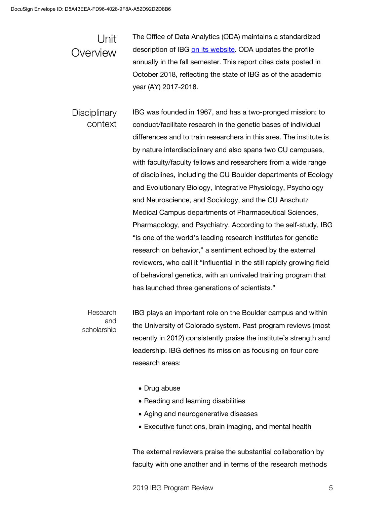The Office of Data Analytics (ODA) maintains a standardized description of IBG on its website. ODA updates the profile annually in the fall semester. This report cites data posted in October 2018, reflecting the state of IBG as of the academic year (AY) 2017-2018. Unit **Overview** 

IBG was founded in 1967, and has a two-pronged mission: to conduct/facilitate research in the genetic bases of individual differences and to train researchers in this area. The institute is by nature interdisciplinary and also spans two CU campuses, with faculty/faculty fellows and researchers from a wide range of disciplines, including the CU Boulder departments of Ecology and Evolutionary Biology, Integrative Physiology, Psychology and Neuroscience, and Sociology, and the CU Anschutz Medical Campus departments of Pharmaceutical Sciences, Pharmacology, and Psychiatry. According to the self-study, IBG "is one of the world's leading research institutes for genetic research on behavior," a sentiment echoed by the external reviewers, who call it "influential in the still rapidly growing field of behavioral genetics, with an unrivaled training program that has launched three generations of scientists." **Disciplinary** context

IBG plays an important role on the Boulder campus and within the University of Colorado system. Past program reviews (most recently in 2012) consistently praise the institute's strength and leadership. IBG defines its mission as focusing on four core research areas: Research and scholarship

- Drug abuse
- Reading and learning disabilities
- Aging and neurogenerative diseases
- Executive functions, brain imaging, and mental health

The external reviewers praise the substantial collaboration by faculty with one another and in terms of the research methods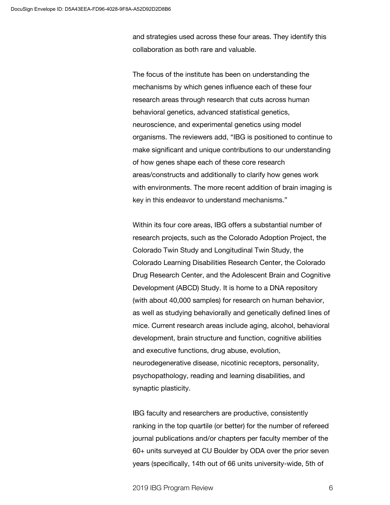and strategies used across these four areas. They identify this collaboration as both rare and valuable.

The focus of the institute has been on understanding the mechanisms by which genes influence each of these four research areas through research that cuts across human behavioral genetics, advanced statistical genetics, neuroscience, and experimental genetics using model organisms. The reviewers add, "IBG is positioned to continue to make significant and unique contributions to our understanding of how genes shape each of these core research areas/constructs and additionally to clarify how genes work with environments. The more recent addition of brain imaging is key in this endeavor to understand mechanisms."

Within its four core areas, IBG offers a substantial number of research projects, such as the Colorado Adoption Project, the Colorado Twin Study and Longitudinal Twin Study, the Colorado Learning Disabilities Research Center, the Colorado Drug Research Center, and the Adolescent Brain and Cognitive Development (ABCD) Study. It is home to a DNA repository (with about 40,000 samples) for research on human behavior, as well as studying behaviorally and genetically defined lines of mice. Current research areas include aging, alcohol, behavioral development, brain structure and function, cognitive abilities and executive functions, drug abuse, evolution, neurodegenerative disease, nicotinic receptors, personality, psychopathology, reading and learning disabilities, and synaptic plasticity.

IBG faculty and researchers are productive, consistently ranking in the top quartile (or better) for the number of refereed journal publications and/or chapters per faculty member of the 60+ units surveyed at CU Boulder by ODA over the prior seven years (specifically, 14th out of 66 units university-wide, 5th of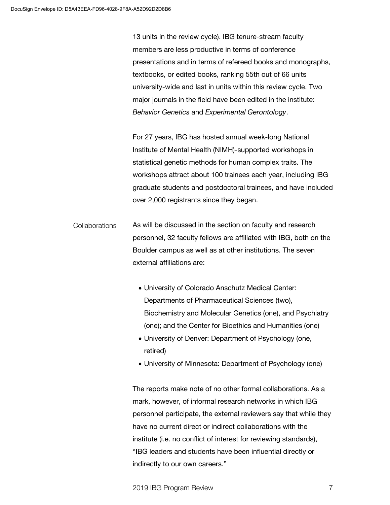13 units in the review cycle). IBG tenure-stream faculty members are less productive in terms of conference presentations and in terms of refereed books and monographs, textbooks, or edited books, ranking 55th out of 66 units university-wide and last in units within this review cycle. Two major journals in the field have been edited in the institute: *Behavior Genetics* and *Experimental Gerontology*.

For 27 years, IBG has hosted annual week-long National Institute of Mental Health (NIMH)-supported workshops in statistical genetic methods for human complex traits. The workshops attract about 100 trainees each year, including IBG graduate students and postdoctoral trainees, and have included over 2,000 registrants since they began.

- As will be discussed in the section on faculty and research personnel, 32 faculty fellows are affiliated with IBG, both on the Boulder campus as well as at other institutions. The seven external affiliations are: Collaborations
	- University of Colorado Anschutz Medical Center: Departments of Pharmaceutical Sciences (two), Biochemistry and Molecular Genetics (one), and Psychiatry (one); and the Center for Bioethics and Humanities (one)
	- University of Denver: Department of Psychology (one, retired)
	- University of Minnesota: Department of Psychology (one)

The reports make note of no other formal collaborations. As a mark, however, of informal research networks in which IBG personnel participate, the external reviewers say that while they have no current direct or indirect collaborations with the institute (i.e. no conflict of interest for reviewing standards), "IBG leaders and students have been influential directly or indirectly to our own careers."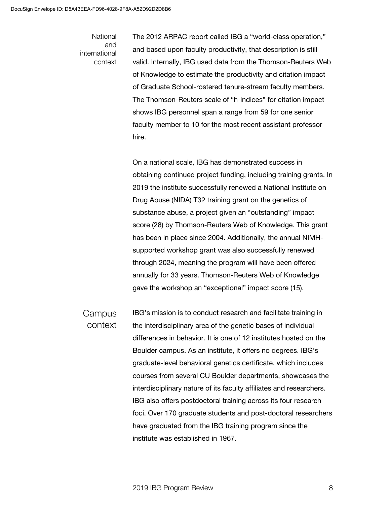#### National and international context

The 2012 ARPAC report called IBG a "world-class operation," and based upon faculty productivity, that description is still valid. Internally, IBG used data from the Thomson-Reuters Web of Knowledge to estimate the productivity and citation impact of Graduate School-rostered tenure-stream faculty members. The Thomson-Reuters scale of "h-indices" for citation impact shows IBG personnel span a range from 59 for one senior faculty member to 10 for the most recent assistant professor hire.

On a national scale, IBG has demonstrated success in obtaining continued project funding, including training grants. In 2019 the institute successfully renewed a National Institute on Drug Abuse (NIDA) T32 training grant on the genetics of substance abuse, a project given an "outstanding" impact score (28) by Thomson-Reuters Web of Knowledge. This grant has been in place since 2004. Additionally, the annual NIMHsupported workshop grant was also successfully renewed through 2024, meaning the program will have been offered annually for 33 years. Thomson-Reuters Web of Knowledge gave the workshop an "exceptional" impact score (15).

IBG's mission is to conduct research and facilitate training in the interdisciplinary area of the genetic bases of individual differences in behavior. It is one of 12 institutes hosted on the Boulder campus. As an institute, it offers no degrees. IBG's graduate-level behavioral genetics certificate, which includes courses from several CU Boulder departments, showcases the interdisciplinary nature of its faculty affiliates and researchers. IBG also offers postdoctoral training across its four research foci. Over 170 graduate students and post-doctoral researchers have graduated from the IBG training program since the institute was established in 1967. Campus context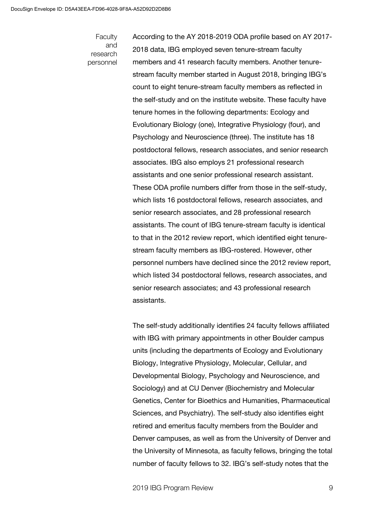#### Faculty and research personnel

According to the AY 2018-2019 ODA profile based on AY 2017- 2018 data, IBG employed seven tenure-stream faculty members and 41 research faculty members. Another tenurestream faculty member started in August 2018, bringing IBG's count to eight tenure-stream faculty members as reflected in the self-study and on the institute website. These faculty have tenure homes in the following departments: Ecology and Evolutionary Biology (one), Integrative Physiology (four), and Psychology and Neuroscience (three). The institute has 18 postdoctoral fellows, research associates, and senior research associates. IBG also employs 21 professional research assistants and one senior professional research assistant. These ODA profile numbers differ from those in the self-study, which lists 16 postdoctoral fellows, research associates, and senior research associates, and 28 professional research assistants. The count of IBG tenure-stream faculty is identical to that in the 2012 review report, which identified eight tenurestream faculty members as IBG-rostered. However, other personnel numbers have declined since the 2012 review report, which listed 34 postdoctoral fellows, research associates, and senior research associates; and 43 professional research assistants.

The self-study additionally identifies 24 faculty fellows affiliated with IBG with primary appointments in other Boulder campus units (including the departments of Ecology and Evolutionary Biology, Integrative Physiology, Molecular, Cellular, and Developmental Biology, Psychology and Neuroscience, and Sociology) and at CU Denver (Biochemistry and Molecular Genetics, Center for Bioethics and Humanities, Pharmaceutical Sciences, and Psychiatry). The self-study also identifies eight retired and emeritus faculty members from the Boulder and Denver campuses, as well as from the University of Denver and the University of Minnesota, as faculty fellows, bringing the total number of faculty fellows to 32. IBG's self-study notes that the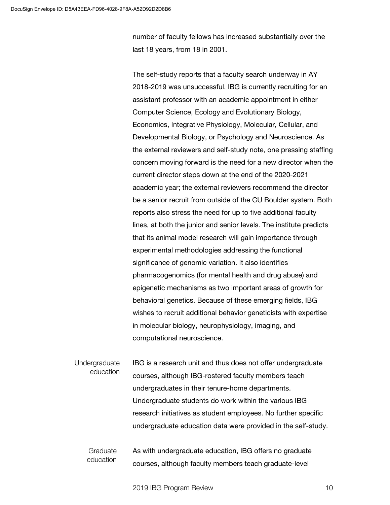number of faculty fellows has increased substantially over the last 18 years, from 18 in 2001.

The self-study reports that a faculty search underway in AY 2018-2019 was unsuccessful. IBG is currently recruiting for an assistant professor with an academic appointment in either Computer Science, Ecology and Evolutionary Biology, Economics, Integrative Physiology, Molecular, Cellular, and Developmental Biology, or Psychology and Neuroscience. As the external reviewers and self-study note, one pressing staffing concern moving forward is the need for a new director when the current director steps down at the end of the 2020-2021 academic year; the external reviewers recommend the director be a senior recruit from outside of the CU Boulder system. Both reports also stress the need for up to five additional faculty lines, at both the junior and senior levels. The institute predicts that its animal model research will gain importance through experimental methodologies addressing the functional significance of genomic variation. It also identifies pharmacogenomics (for mental health and drug abuse) and epigenetic mechanisms as two important areas of growth for behavioral genetics. Because of these emerging fields, IBG wishes to recruit additional behavior geneticists with expertise in molecular biology, neurophysiology, imaging, and computational neuroscience.

IBG is a research unit and thus does not offer undergraduate courses, although IBG-rostered faculty members teach undergraduates in their tenure-home departments. Undergraduate students do work within the various IBG research initiatives as student employees. No further specific undergraduate education data were provided in the self-study. **Undergraduate** education

As with undergraduate education, IBG offers no graduate courses, although faculty members teach graduate-level Graduate education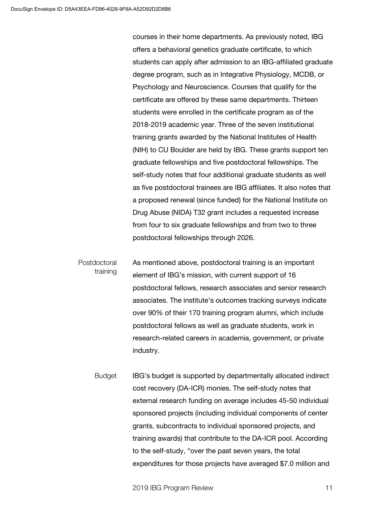courses in their home departments. As previously noted, IBG offers a behavioral genetics graduate certificate, to which students can apply after admission to an IBG-affiliated graduate degree program, such as in Integrative Physiology, MCDB, or Psychology and Neuroscience. Courses that qualify for the certificate are offered by these same departments. Thirteen students were enrolled in the certificate program as of the 2018-2019 academic year. Three of the seven institutional training grants awarded by the National Institutes of Health (NIH) to CU Boulder are held by IBG. These grants support ten graduate fellowships and five postdoctoral fellowships. The self-study notes that four additional graduate students as well as five postdoctoral trainees are IBG affiliates. It also notes that a proposed renewal (since funded) for the National Institute on Drug Abuse (NIDA) T32 grant includes a requested increase from four to six graduate fellowships and from two to three postdoctoral fellowships through 2026.

As mentioned above, postdoctoral training is an important element of IBG's mission, with current support of 16 postdoctoral fellows, research associates and senior research associates. The institute's outcomes tracking surveys indicate over 90% of their 170 training program alumni, which include postdoctoral fellows as well as graduate students, work in research-related careers in academia, government, or private industry. Postdoctoral training

IBG's budget is supported by departmentally allocated indirect cost recovery (DA-ICR) monies. The self-study notes that external research funding on average includes 45-50 individual sponsored projects (including individual components of center grants, subcontracts to individual sponsored projects, and training awards) that contribute to the DA-ICR pool. According to the self-study, "over the past seven years, the total expenditures for those projects have averaged \$7.0 million and Budget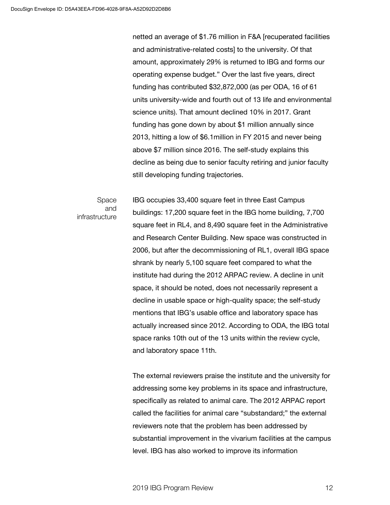netted an average of \$1.76 million in F&A [recuperated facilities and administrative-related costs] to the university. Of that amount, approximately 29% is returned to IBG and forms our operating expense budget." Over the last five years, direct funding has contributed \$32,872,000 (as per ODA, 16 of 61 units university-wide and fourth out of 13 life and environmental science units). That amount declined 10% in 2017. Grant funding has gone down by about \$1 million annually since 2013, hitting a low of \$6.1million in FY 2015 and never being above \$7 million since 2016. The self-study explains this decline as being due to senior faculty retiring and junior faculty still developing funding trajectories.

#### Space and infrastructure

IBG occupies 33,400 square feet in three East Campus buildings: 17,200 square feet in the IBG home building, 7,700 square feet in RL4, and 8,490 square feet in the Administrative and Research Center Building. New space was constructed in 2006, but after the decommissioning of RL1, overall IBG space shrank by nearly 5,100 square feet compared to what the institute had during the 2012 ARPAC review. A decline in unit space, it should be noted, does not necessarily represent a decline in usable space or high-quality space; the self-study mentions that IBG's usable office and laboratory space has actually increased since 2012. According to ODA, the IBG total space ranks 10th out of the 13 units within the review cycle, and laboratory space 11th.

The external reviewers praise the institute and the university for addressing some key problems in its space and infrastructure, specifically as related to animal care. The 2012 ARPAC report called the facilities for animal care "substandard;" the external reviewers note that the problem has been addressed by substantial improvement in the vivarium facilities at the campus level. IBG has also worked to improve its information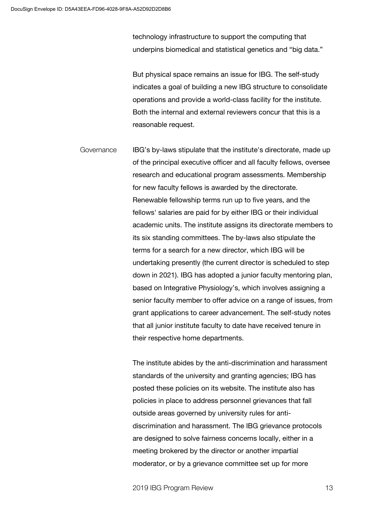technology infrastructure to support the computing that underpins biomedical and statistical genetics and "big data."

But physical space remains an issue for IBG. The self-study indicates a goal of building a new IBG structure to consolidate operations and provide a world-class facility for the institute. Both the internal and external reviewers concur that this is a reasonable request.

IBG's by-laws stipulate that the institute's directorate, made up of the principal executive officer and all faculty fellows, oversee research and educational program assessments. Membership for new faculty fellows is awarded by the directorate. Renewable fellowship terms run up to five years, and the fellows' salaries are paid for by either IBG or their individual academic units. The institute assigns its directorate members to its six standing committees. The by-laws also stipulate the terms for a search for a new director, which IBG will be undertaking presently (the current director is scheduled to step down in 2021). IBG has adopted a junior faculty mentoring plan, based on Integrative Physiology's, which involves assigning a senior faculty member to offer advice on a range of issues, from grant applications to career advancement. The self-study notes that all junior institute faculty to date have received tenure in their respective home departments. Governance

> The institute abides by the anti-discrimination and harassment standards of the university and granting agencies; IBG has posted these policies on its website. The institute also has policies in place to address personnel grievances that fall outside areas governed by university rules for antidiscrimination and harassment. The IBG grievance protocols are designed to solve fairness concerns locally, either in a meeting brokered by the director or another impartial moderator, or by a grievance committee set up for more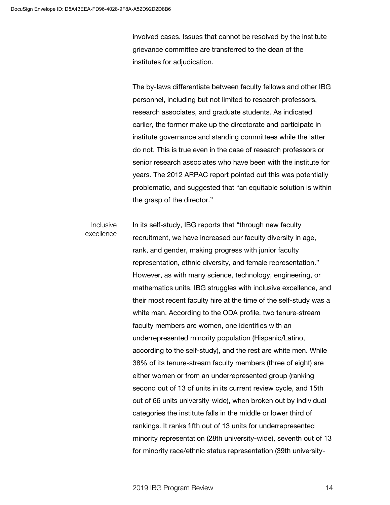involved cases. Issues that cannot be resolved by the institute grievance committee are transferred to the dean of the institutes for adjudication.

The by-laws differentiate between faculty fellows and other IBG personnel, including but not limited to research professors, research associates, and graduate students. As indicated earlier, the former make up the directorate and participate in institute governance and standing committees while the latter do not. This is true even in the case of research professors or senior research associates who have been with the institute for years. The 2012 ARPAC report pointed out this was potentially problematic, and suggested that "an equitable solution is within the grasp of the director."

In its self-study, IBG reports that "through new faculty recruitment, we have increased our faculty diversity in age, rank, and gender, making progress with junior faculty representation, ethnic diversity, and female representation." However, as with many science, technology, engineering, or mathematics units, IBG struggles with inclusive excellence, and their most recent faculty hire at the time of the self-study was a white man. According to the ODA profile, two tenure-stream faculty members are women, one identifies with an underrepresented minority population (Hispanic/Latino, according to the self-study), and the rest are white men. While 38% of its tenure-stream faculty members (three of eight) are either women or from an underrepresented group (ranking second out of 13 of units in its current review cycle, and 15th out of 66 units university-wide), when broken out by individual categories the institute falls in the middle or lower third of rankings. It ranks fifth out of 13 units for underrepresented minority representation (28th university-wide), seventh out of 13 for minority race/ethnic status representation (39th university-Inclusive excellence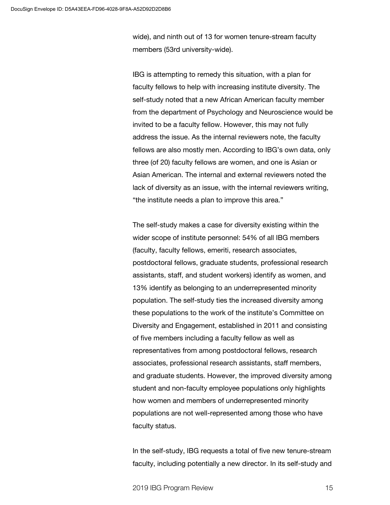wide), and ninth out of 13 for women tenure-stream faculty members (53rd university-wide).

IBG is attempting to remedy this situation, with a plan for faculty fellows to help with increasing institute diversity. The self-study noted that a new African American faculty member from the department of Psychology and Neuroscience would be invited to be a faculty fellow. However, this may not fully address the issue. As the internal reviewers note, the faculty fellows are also mostly men. According to IBG's own data, only three (of 20) faculty fellows are women, and one is Asian or Asian American. The internal and external reviewers noted the lack of diversity as an issue, with the internal reviewers writing, "the institute needs a plan to improve this area."

The self-study makes a case for diversity existing within the wider scope of institute personnel: 54% of all IBG members (faculty, faculty fellows, emeriti, research associates, postdoctoral fellows, graduate students, professional research assistants, staff, and student workers) identify as women, and 13% identify as belonging to an underrepresented minority population. The self-study ties the increased diversity among these populations to the work of the institute's Committee on Diversity and Engagement, established in 2011 and consisting of five members including a faculty fellow as well as representatives from among postdoctoral fellows, research associates, professional research assistants, staff members, and graduate students. However, the improved diversity among student and non-faculty employee populations only highlights how women and members of underrepresented minority populations are not well-represented among those who have faculty status.

In the self-study, IBG requests a total of five new tenure-stream faculty, including potentially a new director. In its self-study and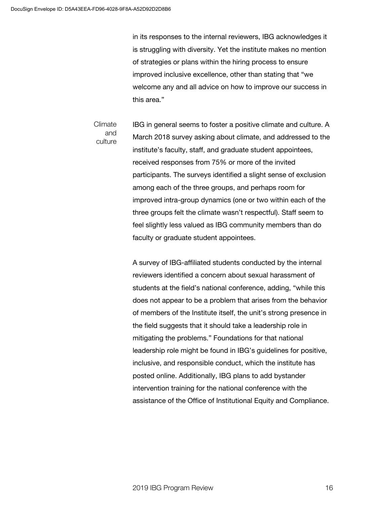in its responses to the internal reviewers, IBG acknowledges it is struggling with diversity. Yet the institute makes no mention of strategies or plans within the hiring process to ensure improved inclusive excellence, other than stating that "we welcome any and all advice on how to improve our success in this area."

IBG in general seems to foster a positive climate and culture. A March 2018 survey asking about climate, and addressed to the institute's faculty, staff, and graduate student appointees, received responses from 75% or more of the invited participants. The surveys identified a slight sense of exclusion among each of the three groups, and perhaps room for improved intra-group dynamics (one or two within each of the three groups felt the climate wasn't respectful). Staff seem to feel slightly less valued as IBG community members than do faculty or graduate student appointees. Climate and culture

> A survey of IBG-affiliated students conducted by the internal reviewers identified a concern about sexual harassment of students at the field's national conference, adding, "while this does not appear to be a problem that arises from the behavior of members of the Institute itself, the unit's strong presence in the field suggests that it should take a leadership role in mitigating the problems." Foundations for that national leadership role might be found in IBG's guidelines for positive, inclusive, and responsible conduct, which the institute has posted online. Additionally, IBG plans to add bystander intervention training for the national conference with the assistance of the Office of Institutional Equity and Compliance.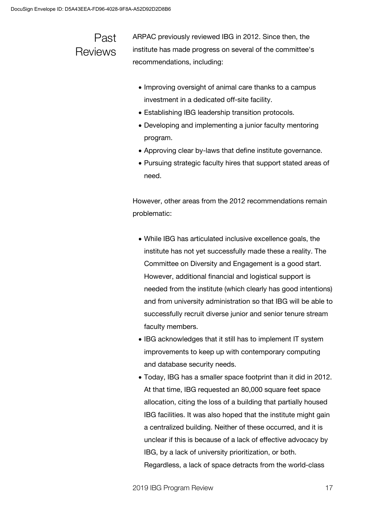### Past **Reviews**

ARPAC previously reviewed IBG in 2012. Since then, the institute has made progress on several of the committee's recommendations, including:

- Improving oversight of animal care thanks to a campus investment in a dedicated off-site facility.
- Establishing IBG leadership transition protocols.
- Developing and implementing a junior faculty mentoring program.
- Approving clear by-laws that define institute governance.
- Pursuing strategic faculty hires that support stated areas of need.

However, other areas from the 2012 recommendations remain problematic:

- While IBG has articulated inclusive excellence goals, the institute has not yet successfully made these a reality. The Committee on Diversity and Engagement is a good start. However, additional financial and logistical support is needed from the institute (which clearly has good intentions) and from university administration so that IBG will be able to successfully recruit diverse junior and senior tenure stream faculty members.
- IBG acknowledges that it still has to implement IT system improvements to keep up with contemporary computing and database security needs.
- Today, IBG has a smaller space footprint than it did in 2012. At that time, IBG requested an 80,000 square feet space allocation, citing the loss of a building that partially housed IBG facilities. It was also hoped that the institute might gain a centralized building. Neither of these occurred, and it is unclear if this is because of a lack of effective advocacy by IBG, by a lack of university prioritization, or both. Regardless, a lack of space detracts from the world-class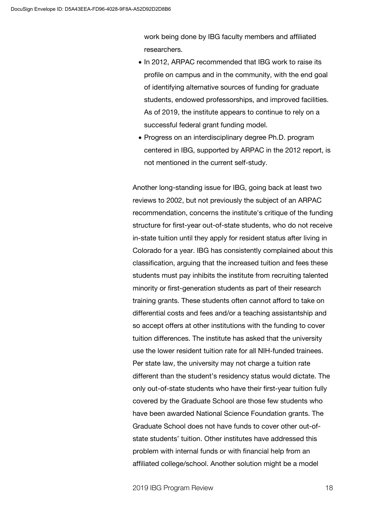work being done by IBG faculty members and affiliated researchers.

- In 2012, ARPAC recommended that IBG work to raise its profile on campus and in the community, with the end goal of identifying alternative sources of funding for graduate students, endowed professorships, and improved facilities. As of 2019, the institute appears to continue to rely on a successful federal grant funding model.
- Progress on an interdisciplinary degree Ph.D. program centered in IBG, supported by ARPAC in the 2012 report, is not mentioned in the current self-study.

Another long-standing issue for IBG, going back at least two reviews to 2002, but not previously the subject of an ARPAC recommendation, concerns the institute's critique of the funding structure for first-year out-of-state students, who do not receive in-state tuition until they apply for resident status after living in Colorado for a year. IBG has consistently complained about this classification, arguing that the increased tuition and fees these students must pay inhibits the institute from recruiting talented minority or first-generation students as part of their research training grants. These students often cannot afford to take on differential costs and fees and/or a teaching assistantship and so accept offers at other institutions with the funding to cover tuition differences. The institute has asked that the university use the lower resident tuition rate for all NIH-funded trainees. Per state law, the university may not charge a tuition rate different than the student's residency status would dictate. The only out-of-state students who have their first-year tuition fully covered by the Graduate School are those few students who have been awarded National Science Foundation grants. The Graduate School does not have funds to cover other out-ofstate students' tuition. Other institutes have addressed this problem with internal funds or with financial help from an affiliated college/school. Another solution might be a model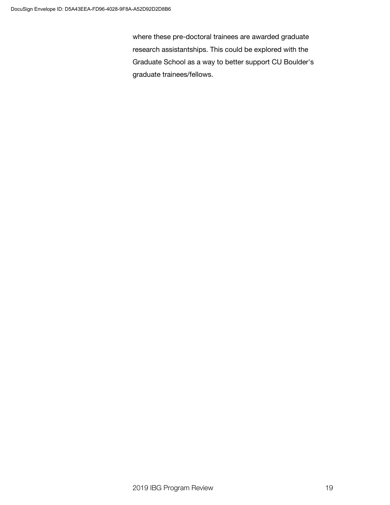where these pre-doctoral trainees are awarded graduate research assistantships. This could be explored with the Graduate School as a way to better support CU Boulder's graduate trainees/fellows.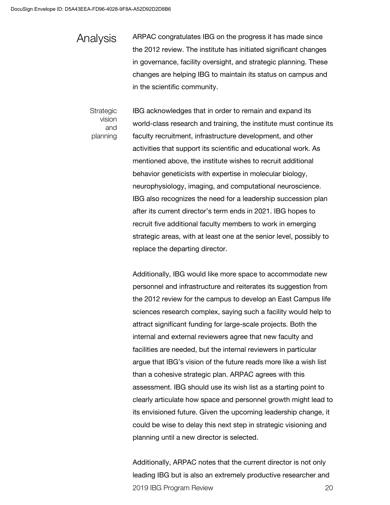Analysis

ARPAC congratulates IBG on the progress it has made since the 2012 review. The institute has initiated significant changes in governance, facility oversight, and strategic planning. These changes are helping IBG to maintain its status on campus and in the scientific community.

**Strategic** vision and planning IBG acknowledges that in order to remain and expand its world-class research and training, the institute must continue its faculty recruitment, infrastructure development, and other activities that support its scientific and educational work. As mentioned above, the institute wishes to recruit additional behavior geneticists with expertise in molecular biology, neurophysiology, imaging, and computational neuroscience. IBG also recognizes the need for a leadership succession plan after its current director's term ends in 2021. IBG hopes to recruit five additional faculty members to work in emerging strategic areas, with at least one at the senior level, possibly to replace the departing director.

Additionally, IBG would like more space to accommodate new personnel and infrastructure and reiterates its suggestion from the 2012 review for the campus to develop an East Campus life sciences research complex, saying such a facility would help to attract significant funding for large-scale projects. Both the internal and external reviewers agree that new faculty and facilities are needed, but the internal reviewers in particular argue that IBG's vision of the future reads more like a wish list than a cohesive strategic plan. ARPAC agrees with this assessment. IBG should use its wish list as a starting point to clearly articulate how space and personnel growth might lead to its envisioned future. Given the upcoming leadership change, it could be wise to delay this next step in strategic visioning and planning until a new director is selected.

2019 IBG Program Review 20 Additionally, ARPAC notes that the current director is not only leading IBG but is also an extremely productive researcher and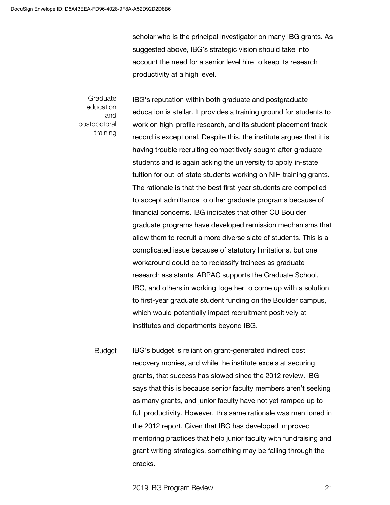scholar who is the principal investigator on many IBG grants. As suggested above, IBG's strategic vision should take into account the need for a senior level hire to keep its research productivity at a high level.

Graduate education and postdoctoral training

IBG's reputation within both graduate and postgraduate education is stellar. It provides a training ground for students to work on high-profile research, and its student placement track record is exceptional. Despite this, the institute argues that it is having trouble recruiting competitively sought-after graduate students and is again asking the university to apply in-state tuition for out-of-state students working on NIH training grants. The rationale is that the best first-year students are compelled to accept admittance to other graduate programs because of financial concerns. IBG indicates that other CU Boulder graduate programs have developed remission mechanisms that allow them to recruit a more diverse slate of students. This is a complicated issue because of statutory limitations, but one workaround could be to reclassify trainees as graduate research assistants. ARPAC supports the Graduate School, IBG, and others in working together to come up with a solution to first-year graduate student funding on the Boulder campus, which would potentially impact recruitment positively at institutes and departments beyond IBG.

IBG's budget is reliant on grant-generated indirect cost recovery monies, and while the institute excels at securing grants, that success has slowed since the 2012 review. IBG says that this is because senior faculty members aren't seeking as many grants, and junior faculty have not yet ramped up to full productivity. However, this same rationale was mentioned in the 2012 report. Given that IBG has developed improved mentoring practices that help junior faculty with fundraising and grant writing strategies, something may be falling through the cracks. Budget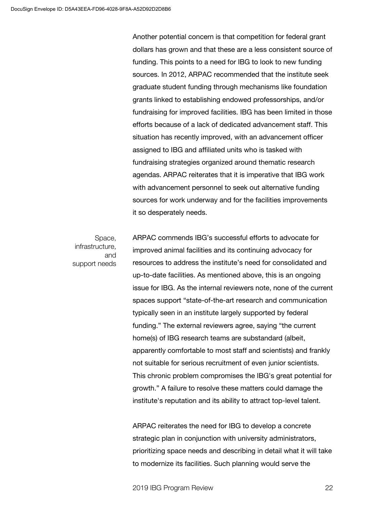Another potential concern is that competition for federal grant dollars has grown and that these are a less consistent source of funding. This points to a need for IBG to look to new funding sources. In 2012, ARPAC recommended that the institute seek graduate student funding through mechanisms like foundation grants linked to establishing endowed professorships, and/or fundraising for improved facilities. IBG has been limited in those efforts because of a lack of dedicated advancement staff. This situation has recently improved, with an advancement officer assigned to IBG and affiliated units who is tasked with fundraising strategies organized around thematic research agendas. ARPAC reiterates that it is imperative that IBG work with advancement personnel to seek out alternative funding sources for work underway and for the facilities improvements it so desperately needs.

Space, infrastructure, and support needs ARPAC commends IBG's successful efforts to advocate for improved animal facilities and its continuing advocacy for resources to address the institute's need for consolidated and up-to-date facilities. As mentioned above, this is an ongoing issue for IBG. As the internal reviewers note, none of the current spaces support "state-of-the-art research and communication typically seen in an institute largely supported by federal funding." The external reviewers agree, saying "the current home(s) of IBG research teams are substandard (albeit, apparently comfortable to most staff and scientists) and frankly not suitable for serious recruitment of even junior scientists. This chronic problem compromises the IBG's great potential for growth." A failure to resolve these matters could damage the institute's reputation and its ability to attract top-level talent.

ARPAC reiterates the need for IBG to develop a concrete strategic plan in conjunction with university administrators, prioritizing space needs and describing in detail what it will take to modernize its facilities. Such planning would serve the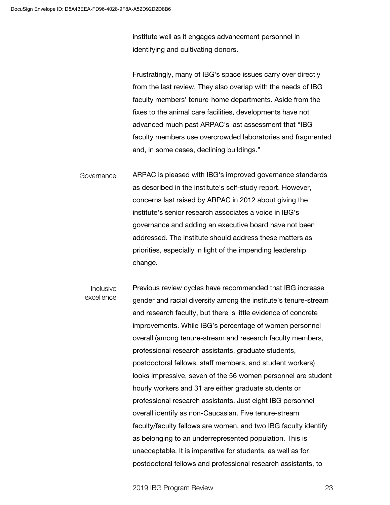institute well as it engages advancement personnel in identifying and cultivating donors.

Frustratingly, many of IBG's space issues carry over directly from the last review. They also overlap with the needs of IBG faculty members' tenure-home departments. Aside from the fixes to the animal care facilities, developments have not advanced much past ARPAC's last assessment that "IBG faculty members use overcrowded laboratories and fragmented and, in some cases, declining buildings."

ARPAC is pleased with IBG's improved governance standards as described in the institute's self-study report. However, concerns last raised by ARPAC in 2012 about giving the institute's senior research associates a voice in IBG's governance and adding an executive board have not been addressed. The institute should address these matters as priorities, especially in light of the impending leadership change. Governance

Previous review cycles have recommended that IBG increase gender and racial diversity among the institute's tenure-stream and research faculty, but there is little evidence of concrete improvements. While IBG's percentage of women personnel overall (among tenure-stream and research faculty members, professional research assistants, graduate students, postdoctoral fellows, staff members, and student workers) looks impressive, seven of the 56 women personnel are student hourly workers and 31 are either graduate students or professional research assistants. Just eight IBG personnel overall identify as non-Caucasian. Five tenure-stream faculty/faculty fellows are women, and two IBG faculty identify as belonging to an underrepresented population. This is unacceptable. It is imperative for students, as well as for postdoctoral fellows and professional research assistants, to Inclusive excellence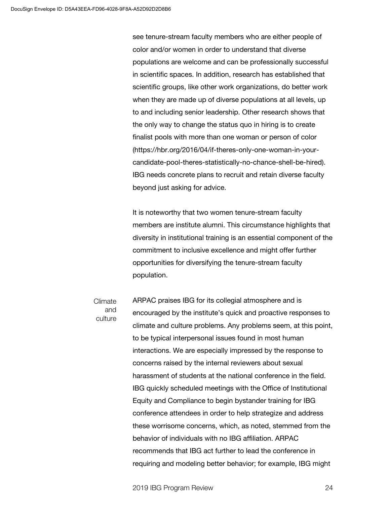see tenure-stream faculty members who are either people of color and/or women in order to understand that diverse populations are welcome and can be professionally successful in scientific spaces. In addition, research has established that scientific groups, like other work organizations, do better work when they are made up of diverse populations at all levels, up to and including senior leadership. Other research shows that the only way to change the status quo in hiring is to create finalist pools with more than one woman or person of color (https://hbr.org/2016/04/if-theres-only-one-woman-in-yourcandidate-pool-theres-statistically-no-chance-shell-be-hired). IBG needs concrete plans to recruit and retain diverse faculty beyond just asking for advice.

It is noteworthy that two women tenure-stream faculty members are institute alumni. This circumstance highlights that diversity in institutional training is an essential component of the commitment to inclusive excellence and might offer further opportunities for diversifying the tenure-stream faculty population.

Climate and culture

ARPAC praises IBG for its collegial atmosphere and is encouraged by the institute's quick and proactive responses to climate and culture problems. Any problems seem, at this point, to be typical interpersonal issues found in most human interactions. We are especially impressed by the response to concerns raised by the internal reviewers about sexual harassment of students at the national conference in the field. IBG quickly scheduled meetings with the Office of Institutional Equity and Compliance to begin bystander training for IBG conference attendees in order to help strategize and address these worrisome concerns, which, as noted, stemmed from the behavior of individuals with no IBG affiliation. ARPAC recommends that IBG act further to lead the conference in requiring and modeling better behavior; for example, IBG might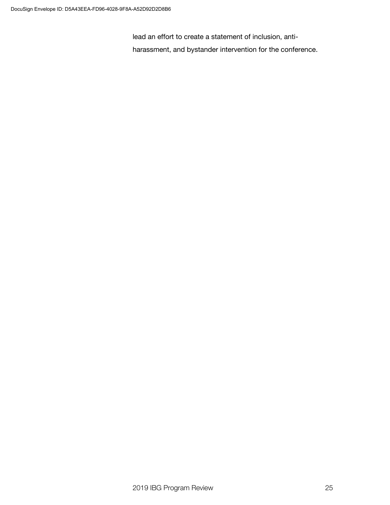lead an effort to create a statement of inclusion, antiharassment, and bystander intervention for the conference.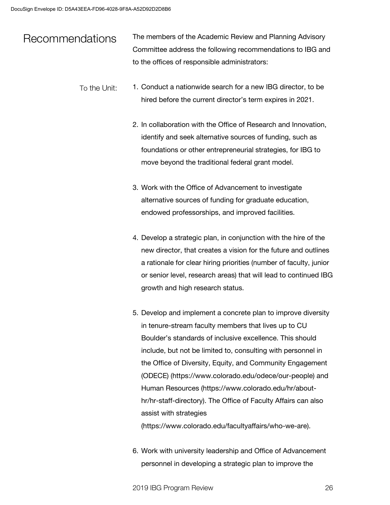#### The members of the Academic Review and Planning Advisory Committee address the following recommendations to IBG and to the offices of responsible administrators: Recommendations

- 1. Conduct a nationwide search for a new IBG director, to be hired before the current director's term expires in 2021. To the Unit:
	- 2. In collaboration with the Office of Research and Innovation, identify and seek alternative sources of funding, such as foundations or other entrepreneurial strategies, for IBG to move beyond the traditional federal grant model.
	- 3. Work with the Office of Advancement to investigate alternative sources of funding for graduate education, endowed professorships, and improved facilities.
	- 4. Develop a strategic plan, in conjunction with the hire of the new director, that creates a vision for the future and outlines a rationale for clear hiring priorities (number of faculty, junior or senior level, research areas) that will lead to continued IBG growth and high research status.
	- 5. Develop and implement a concrete plan to improve diversity in tenure-stream faculty members that lives up to CU Boulder's standards of inclusive excellence. This should include, but not be limited to, consulting with personnel in the Office of Diversity, Equity, and Community Engagement (ODECE) (https://www.colorado.edu/odece/our-people) and Human Resources (https://www.colorado.edu/hr/abouthr/hr-staff-directory). The Office of Faculty Affairs can also assist with strategies (https://www.colorado.edu/facultyaffairs/who-we-are).
	- 6. Work with university leadership and Office of Advancement personnel in developing a strategic plan to improve the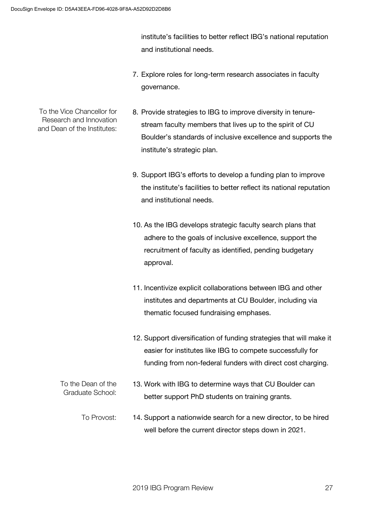institute's facilities to better reflect IBG's national reputation and institutional needs.

- 7. Explore roles for long-term research associates in faculty governance.
- To the Vice Chancellor for Research and Innovation and Dean of the Institutes:
	- 8. Provide strategies to IBG to improve diversity in tenurestream faculty members that lives up to the spirit of CU Boulder's standards of inclusive excellence and supports the institute's strategic plan.
		- 9. Support IBG's efforts to develop a funding plan to improve the institute's facilities to better reflect its national reputation and institutional needs.
		- 10. As the IBG develops strategic faculty search plans that adhere to the goals of inclusive excellence, support the recruitment of faculty as identified, pending budgetary approval.
		- 11. Incentivize explicit collaborations between IBG and other institutes and departments at CU Boulder, including via thematic focused fundraising emphases.
		- 12. Support diversification of funding strategies that will make it easier for institutes like IBG to compete successfully for funding from non-federal funders with direct cost charging.
	- 13. Work with IBG to determine ways that CU Boulder can better support PhD students on training grants. To the Dean of the Graduate School:
		- 14. Support a nationwide search for a new director, to be hired well before the current director steps down in 2021. To Provost: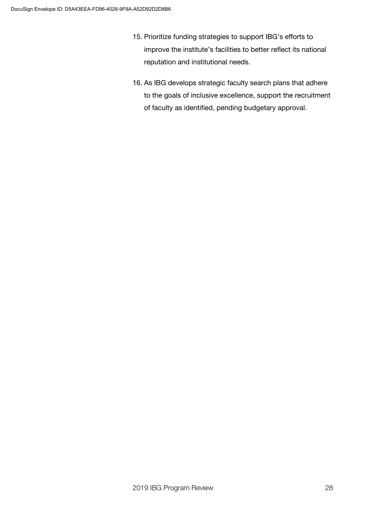- 15. Prioritize funding strategies to support IBG's efforts to improve the institute's facilities to better reflect its national reputation and institutional needs.
- 16. As IBG develops strategic faculty search plans that adhere to the goals of inclusive excellence, support the recruitment of faculty as identified, pending budgetary approval.